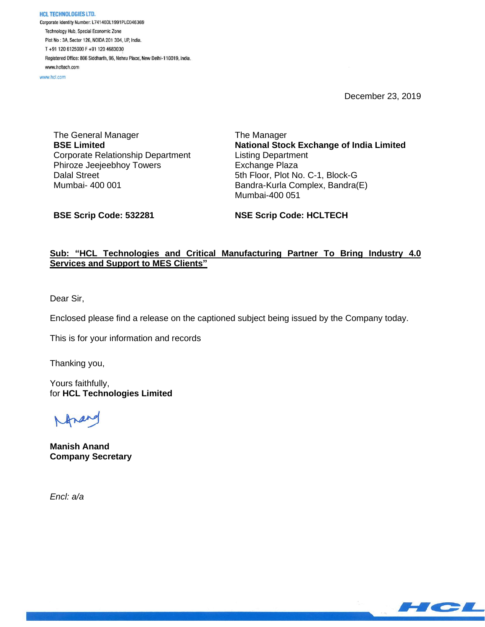**HCL TECHNOLOGIES LTD.** Corporate Identity Number: L74140DL1991PLC046369 Technology Hub, Special Economic Zone Plot No: 3A, Sector 126, NOIDA 201 304, UP, India. T+91 120 6125000 F+91 120 4683030 Registered Office: 806 Siddharth, 96, Nehru Place, New Delhi-110019, India. www.hcltech.com

www.hcl.com

December 23, 2019

The General Manager **BSE Limited** Corporate Relationship Department Phiroze Jeejeebhoy Towers Dalal Street Mumbai- 400 001

The Manager **National Stock Exchange of India Limited** Listing Department Exchange Plaza 5th Floor, Plot No. C-1, Block-G Bandra-Kurla Complex, Bandra(E) Mumbai-400 051

**BSE Scrip Code: 532281**

**NSE Scrip Code: HCLTECH**

## **Sub: "HCL Technologies and Critical Manufacturing Partner To Bring Industry 4.0 Services and Support to MES Clients"**

Dear Sir,

Enclosed please find a release on the captioned subject being issued by the Company today.

This is for your information and records

Thanking you,

Yours faithfully, for **HCL Technologies Limited**

**Manish Anand Company Secretary**

*Encl: a/a*

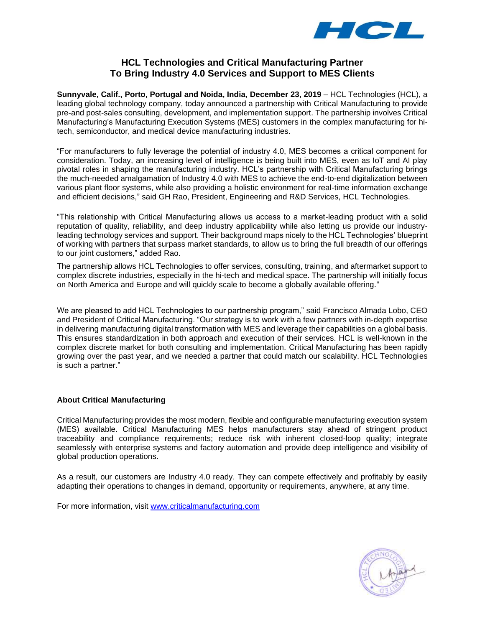

# **HCL Technologies and Critical Manufacturing Partner To Bring Industry 4.0 Services and Support to MES Clients**

**Sunnyvale, Calif., Porto, Portugal and Noida, India, December 23, 2019** – HCL Technologies (HCL), a leading global technology company, today announced a partnership with Critical Manufacturing to provide pre-and post-sales consulting, development, and implementation support. The partnership involves Critical Manufacturing's Manufacturing Execution Systems (MES) customers in the complex manufacturing for hitech, semiconductor, and medical device manufacturing industries.

"For manufacturers to fully leverage the potential of industry 4.0, MES becomes a critical component for consideration. Today, an increasing level of intelligence is being built into MES, even as IoT and AI play pivotal roles in shaping the manufacturing industry. HCL's partnership with Critical Manufacturing brings the much-needed amalgamation of Industry 4.0 with MES to achieve the end-to-end digitalization between various plant floor systems, while also providing a holistic environment for real-time information exchange and efficient decisions," said GH Rao, President, Engineering and R&D Services, HCL Technologies.

"This relationship with Critical Manufacturing allows us access to a market-leading product with a solid reputation of quality, reliability, and deep industry applicability while also letting us provide our industryleading technology services and support. Their background maps nicely to the HCL Technologies' blueprint of working with partners that surpass market standards, to allow us to bring the full breadth of our offerings to our joint customers," added Rao.

The partnership allows HCL Technologies to offer services, consulting, training, and aftermarket support to complex discrete industries, especially in the hi-tech and medical space. The partnership will initially focus on North America and Europe and will quickly scale to become a globally available offering."

We are pleased to add HCL Technologies to our partnership program," said Francisco Almada Lobo, CEO and President of Critical Manufacturing. "Our strategy is to work with a few partners with in-depth expertise in delivering manufacturing digital transformation with MES and leverage their capabilities on a global basis. This ensures standardization in both approach and execution of their services. HCL is well-known in the complex discrete market for both consulting and implementation. Critical Manufacturing has been rapidly growing over the past year, and we needed a partner that could match our scalability. HCL Technologies is such a partner."

## **About Critical Manufacturing**

Critical Manufacturing provides the most modern, flexible and configurable manufacturing execution system (MES) available. Critical Manufacturing MES helps manufacturers stay ahead of stringent product traceability and compliance requirements; reduce risk with inherent closed-loop quality; integrate seamlessly with enterprise systems and factory automation and provide deep intelligence and visibility of global production operations.

As a result, our customers are Industry 4.0 ready. They can compete effectively and profitably by easily adapting their operations to changes in demand, opportunity or requirements, anywhere, at any time.

For more information, visit [www.criticalmanufacturing.com](http://www.criticalmanufacturing.com/)

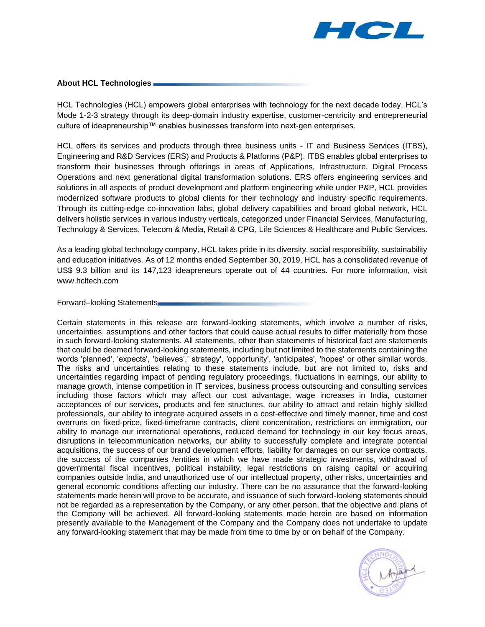

#### **About HCL Technologies**

HCL Technologies (HCL) empowers global enterprises with technology for the next decade today. HCL's Mode 1-2-3 strategy through its deep-domain industry expertise, customer-centricity and entrepreneurial culture of ideapreneurship™ enables businesses transform into next-gen enterprises.

HCL offers its services and products through three business units - IT and Business Services (ITBS), Engineering and R&D Services (ERS) and Products & Platforms (P&P). ITBS enables global enterprises to transform their businesses through offerings in areas of Applications, Infrastructure, Digital Process Operations and next generational digital transformation solutions. ERS offers engineering services and solutions in all aspects of product development and platform engineering while under P&P, HCL provides modernized software products to global clients for their technology and industry specific requirements. Through its cutting-edge co-innovation labs, global delivery capabilities and broad global network, HCL delivers holistic services in various industry verticals, categorized under Financial Services, Manufacturing, Technology & Services, Telecom & Media, Retail & CPG, Life Sciences & Healthcare and Public Services.

As a leading global technology company, HCL takes pride in its diversity, social responsibility, sustainability and education initiatives. As of 12 months ended September 30, 2019, HCL has a consolidated revenue of US\$ 9.3 billion and its 147,123 ideapreneurs operate out of 44 countries. For more information, visit www.hcltech.com

## Forward–looking Statements

Certain statements in this release are forward-looking statements, which involve a number of risks, uncertainties, assumptions and other factors that could cause actual results to differ materially from those in such forward-looking statements. All statements, other than statements of historical fact are statements that could be deemed forward-looking statements, including but not limited to the statements containing the words 'planned', 'expects', 'believes',' strategy', 'opportunity', 'anticipates', 'hopes' or other similar words. The risks and uncertainties relating to these statements include, but are not limited to, risks and uncertainties regarding impact of pending regulatory proceedings, fluctuations in earnings, our ability to manage growth, intense competition in IT services, business process outsourcing and consulting services including those factors which may affect our cost advantage, wage increases in India, customer acceptances of our services, products and fee structures, our ability to attract and retain highly skilled professionals, our ability to integrate acquired assets in a cost-effective and timely manner, time and cost overruns on fixed-price, fixed-timeframe contracts, client concentration, restrictions on immigration, our ability to manage our international operations, reduced demand for technology in our key focus areas, disruptions in telecommunication networks, our ability to successfully complete and integrate potential acquisitions, the success of our brand development efforts, liability for damages on our service contracts, the success of the companies /entities in which we have made strategic investments, withdrawal of governmental fiscal incentives, political instability, legal restrictions on raising capital or acquiring companies outside India, and unauthorized use of our intellectual property, other risks, uncertainties and general economic conditions affecting our industry. There can be no assurance that the forward-looking statements made herein will prove to be accurate, and issuance of such forward-looking statements should not be regarded as a representation by the Company, or any other person, that the objective and plans of the Company will be achieved. All forward-looking statements made herein are based on information presently available to the Management of the Company and the Company does not undertake to update any forward-looking statement that may be made from time to time by or on behalf of the Company.